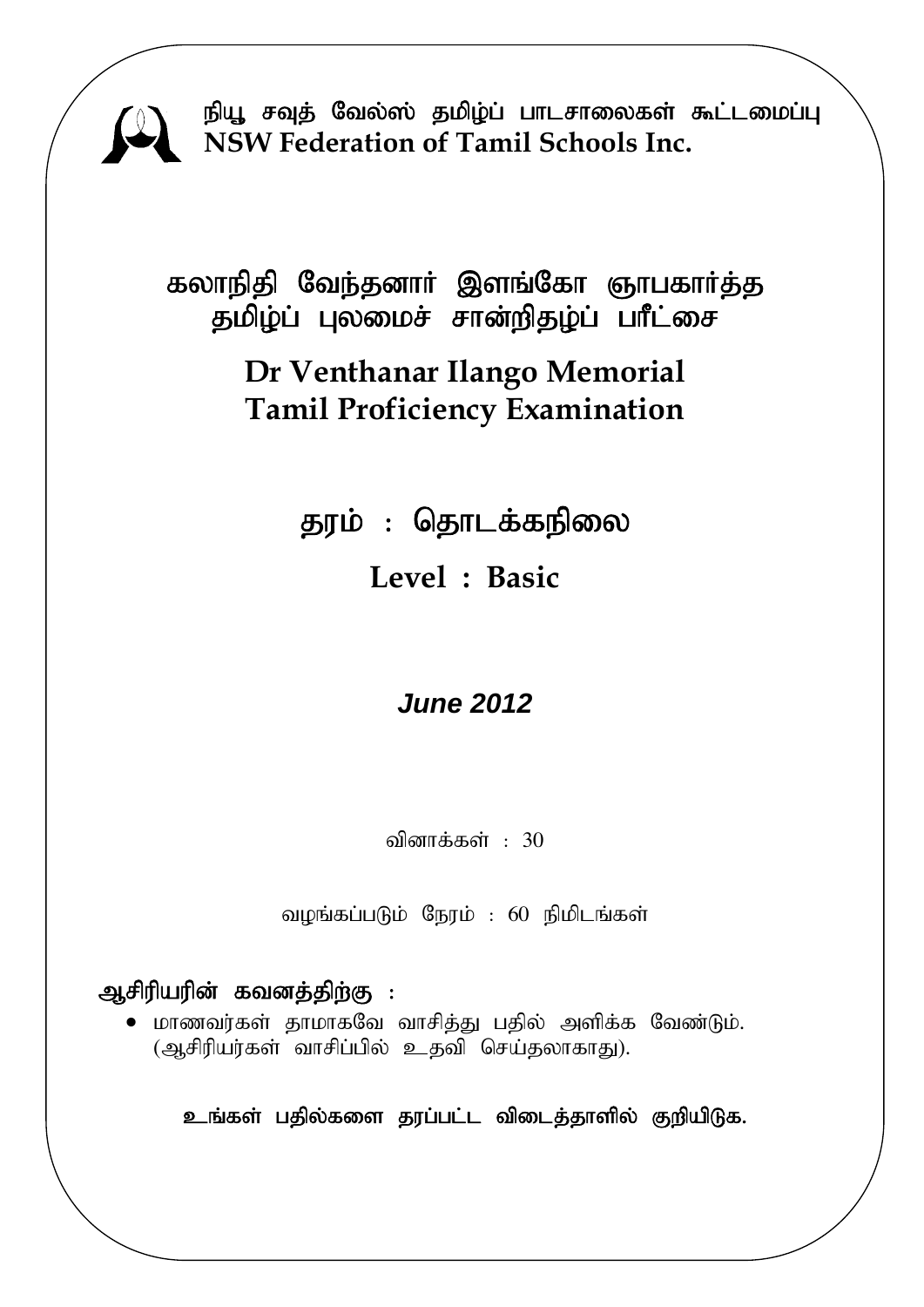

நியூ சவுத் வேல்ஸ் தமிழ்ப் பாடசாலைகள் கூட்டமைப்பு **NSW Federation of Tamil Schools Inc.**

கலாநிதி வேந்தனார் இளங்கோ ஞாபகார்த்த தமிழ்ப் புலமைச் சான்றிதழ்ப் பாீட்சை

## **Dr Venthanar Ilango Memorial Tamil Proficiency Examination**

தரம் : தொடக்கநிலை **Level : Basic** 

# *June 2012*

வினாக்கள் :  $30$ 

வழங்கப்படும் நேரம் : 60 நிமிடங்கள்

## ஆசிரியரின் கவனத்திற்கு :

 $\bullet$  மாணவர்கள் தாமாகவே வாசித்து பதில் அளிக்க வேண்டும். (ஆசிரியர்கள் வாசிப்பில் உதவி செய்தலாகாது).

உங்கள் பதில்களை தரப்பட்ட விடைத்தாளில் குறியிடுக.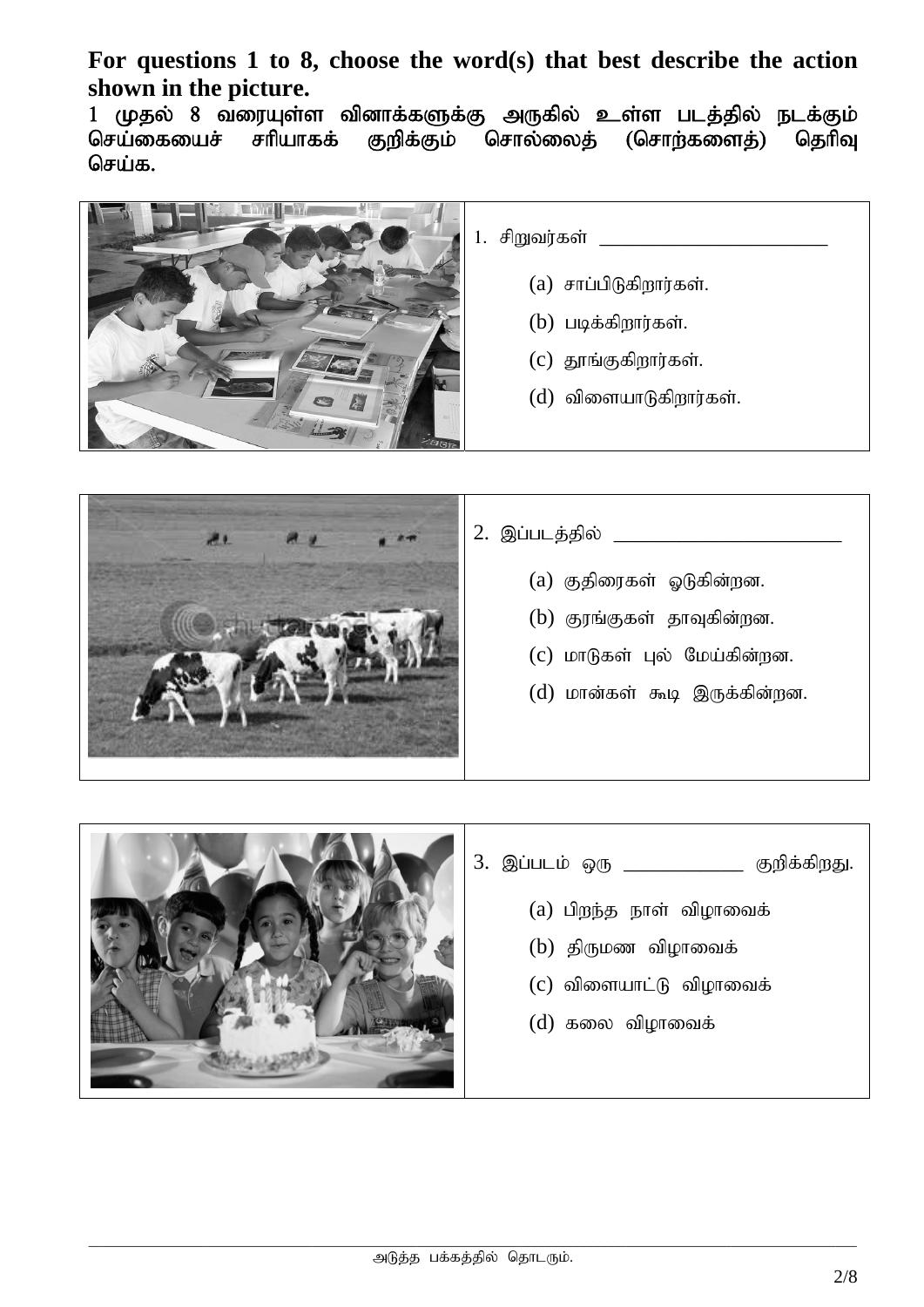**For questions 1 to 8, choose the word(s) that best describe the action shown in the picture.** 

1 முதல் 8 வரையுள்ள வினாக்களுக்கு அருகில் உள்ள படத்தில் நடக்கும்<br>செய்கையைச் சரியாகக் குறிக்கும் சொல்லைத் (சொற்களைத்) தெரிவு செய்கையைச் சரியாகக் குறிக்கும் சொல்லைக் (சொற்களைக்) தெரிவு செய்க.





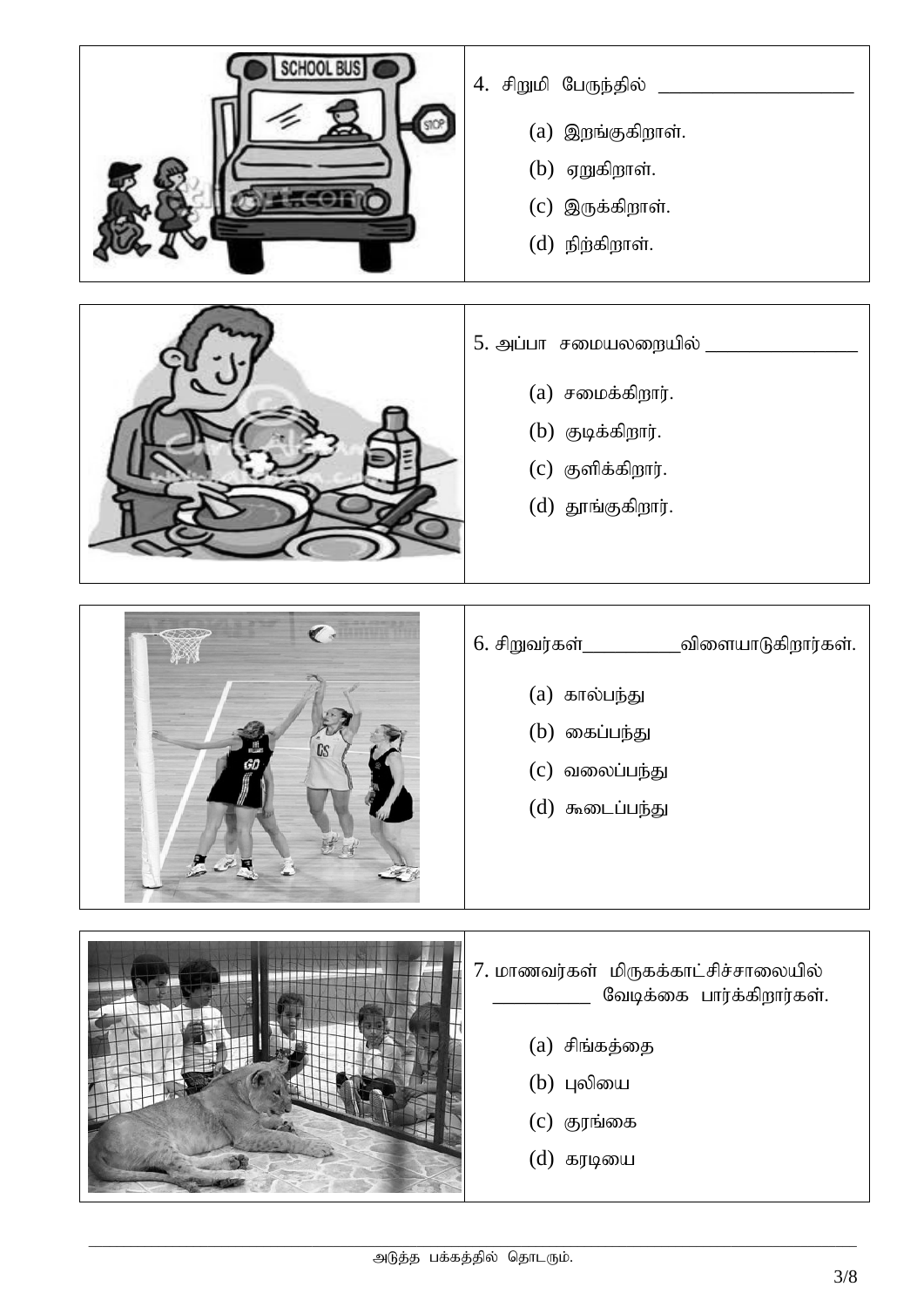



### $6.$  சிறுவர்கள் $\_\_\_\_\_\_$ விளையாடுகிறார்கள்.

- $(a)$  கால்பந்து
- $(b)$  கைப்பந்து
- $(c)$  வலைப்பந்து
- $(d)$  கூடைப்பந்து

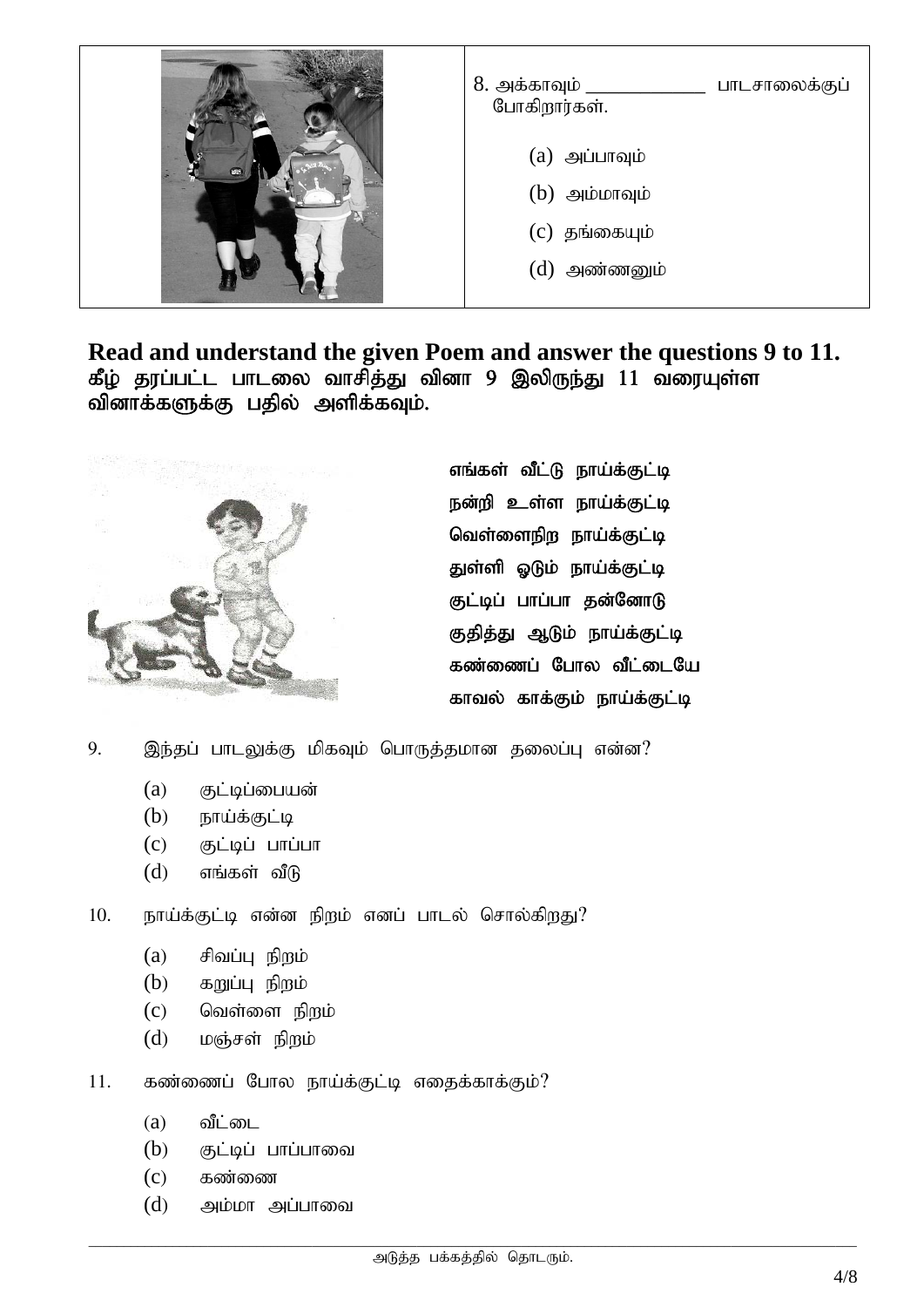

**Read and understand the given Poem and answer the questions 9 to 11.**  கீழ் தரப்பட்ட பாடலை வாசித்து வினா 9 இலிருந்து 11 வரையுள்ள வினாக்களுக்கு பதில் அளிக்கவும்.



எங்கள் வீட்டு நாய்க்குட்டி நன்றி உள்ள நாய்க்குட்டி வெள்ளைநிற நாய்க்குட்டி துள்ளி ஓடும் நாய்க்குட்டி குட்டிப் பாப்பா தன்னோடு குதித்து ஆடும் நாய்க்குட்டி கண்ணைப் போல வீட்டையே காவல் காக்கும் நாய்க்குட்டி

9. இந்தப் பாடலுக்கு மிகவும் பொருத்தமான தலைப்பு என்ன?

- $(a)$  குட்டிப்பையன்
- $(b)$  நாய்க்குட்டி
- $(c)$  சூட்டிப் பாப்பா
- $(d)$  எங்கள் வீடு

10. நாய்க்குட்டி என்ன நிறம் எனப் பாடல் சொல்கிறது?

- $(a)$  சிவப்பு நிறம்
- $(b)$   $\delta$  agguing  $\delta$  aggio
- $(c)$  வெள்ளை நிறம்
- $(d)$  மஞ்சள் நிறம்

 $11.$  கண்ணைப் போல நாய்க்குட்டி எதைக்காக்கும்?

- $(a)$  வீட்டை
- $(b)$  குட்டிப் பாப்பாவை
- $(c)$  கண்ணை
- $(d)$  அம்மா அப்பாவை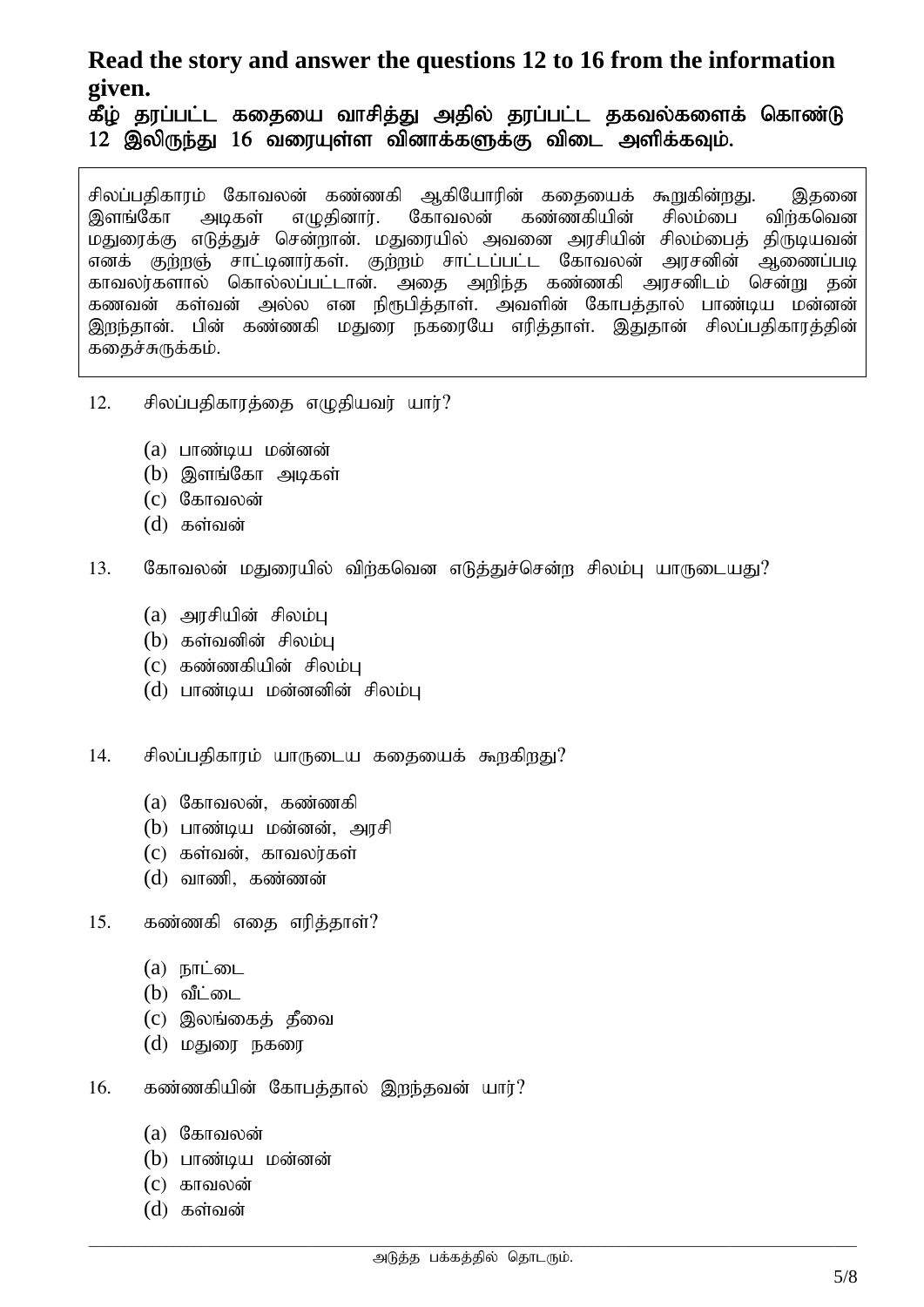## **Read the story and answer the questions 12 to 16 from the information given.**

கீழ் தரப்பட்ட கதையை வாசித்து அதில் தரப்பட்ட தகவல்களைக் கொண்டு  $12$  இலிருந்து  $16$  வரையுள்ள வினாக்களுக்கு விடை அளிக்கவும்.

சிலப்பதிகாரம் கோவலன் கண்ணகி ஆகியோரின் கதையைக் கூறுகின்றது. இதனை<br>இளங்கோ அடிகள் எமுகினார். கோவலன் கண்ணகியின் சிலம்பை விர்கவென கண்ணகியின் மதுரைக்கு எடுத்துச் சென்றான். மதுரையில் அவனை அரசியின் சிலம்பைத் திருடியவன்<br>எனக் குற்றஞ் சாட்டினார்கள். குற்றம் சாட்டப்பட்ட கோவலன் அரசனின் ஆணைப்படி எனக் குற்றஞ் சாட்டினார்கள். குற்றம் சாட்டப்பட்ட கோவலன் காவலர்களால் கொல்லப்பட்டான். அதை அறிந்த கண்ணகி அரசனிடம் சென்று தன் கணவன் கள்வன் அல்ல என நிரூபித்தாள். அவளின் கோபத்தால் பாண்டிய மன்னன் இறந்தான். பின் கண்ணகி மதுரை நகரையே எரித்தாள். இதுதான் சிலப்பதிகாரத்தின் கதைச்சுருக்கம்.

- $12.$  சிலப்பதிகாரத்தை எழுதியவர் யார்?
	- $(a)$  பாண்டிய மன்னன்
	- $(b)$  இளங்கோ அடிகள்
	- $(c)$  கோவலன்
	- $(d)$  கள்வன்
- $13.$  கோவலன் மதுரையில் விர்கவென எடுத்துச்சென்ற சிலம்பு யாருடையது?
	- $(a)$  அரசியின் சிலம்பு
	- $(b)$  கள்வனின் சிலம்பு
	- $(c)$  கண்ணகியின் சிலம்ப
	- $(d)$  பாண்டிய மன்னனின் சிலம்பு

14. சிலப்பதிகாரம் யாருடைய கதையைக் கூறகிறது?

- $(a)$  கோவலன், கண்ணகி
- $(b)$  பாண்டிய மன்னன், அரசி
- $(c)$   $\sigma$ ஞர்வன், காவலர்கள்
- $(d)$  வாணி, கண்ணன்
- $15.$  கண்ணகி எதை எரித்தாள்?
	- $(a)$   $\mathbf{b}$  $\mathbf{h}$  $\mathbf{b}$  $\mathbf{m}$  $\mathbf{b}$  $\mathbf{b}$
	- $(b)$  வீட்டை
	- $(c)$  இலங்கைத் தீவை
	- $(d)$  மதுரை நகரை
- $16.$  கண்ணகியின் கோபத்தால் இறந்தவன் யார்?
	- $(a)$  கோவலன்
	- $(b)$  பாண்டிய மன்னன்
	- $(c)$  காவலன்
	- $(d)$  கள்வன்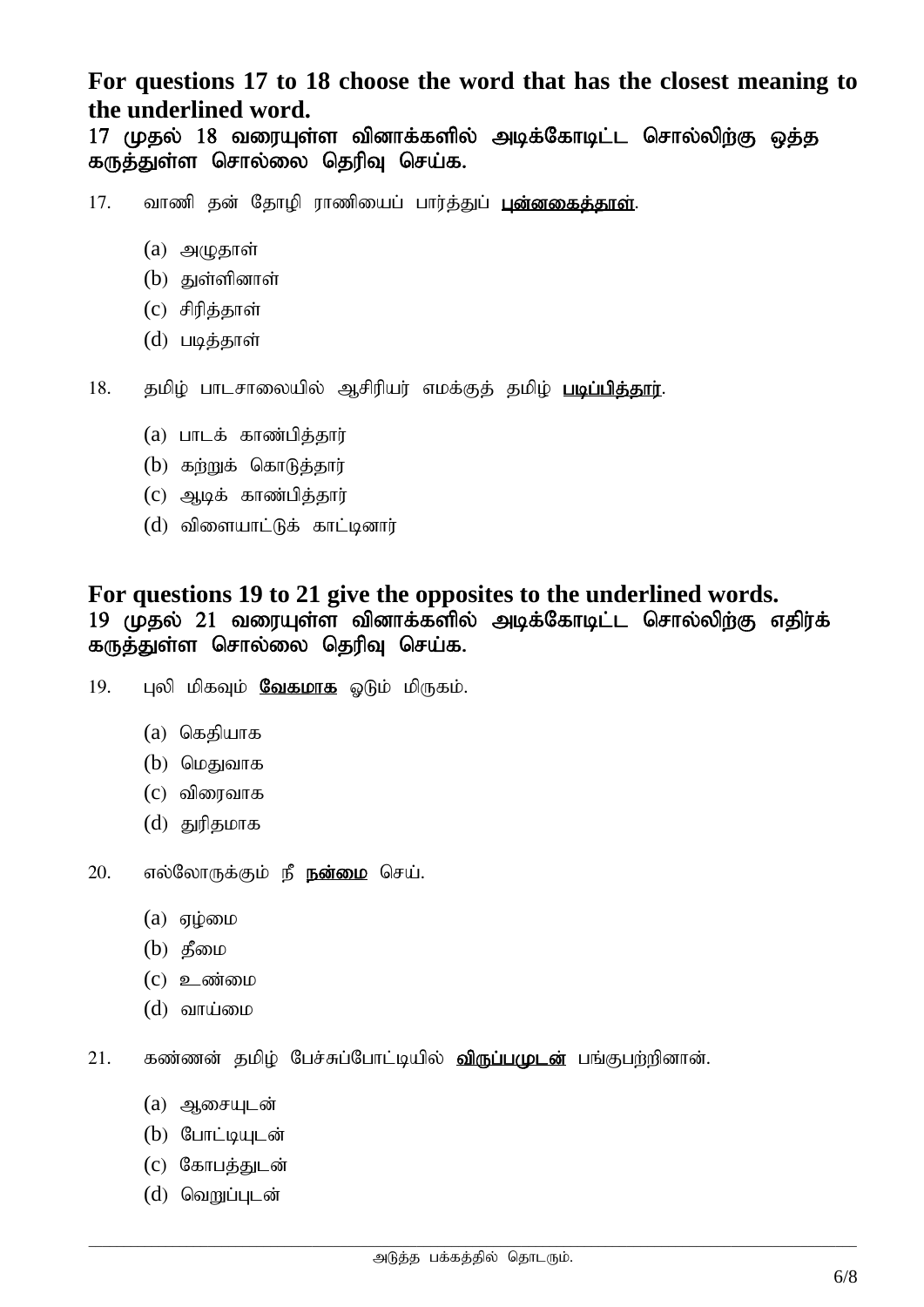**For questions 17 to 18 choose the word that has the closest meaning to the underlined word.** 

17 முதல் 18 வரையுள்ள வினாக்களில் அடிக்கோடிட்ட சொல்லிற்கு ஒத்த கருத்துள்ள சொல்லை தெரிவு செய்க.

- 17. வாணி கன் கோமி ராணியைப் பார்த்துப் புன்னகைத்தாள்.
	- $(a)$  அழுதாள்
	- $(b)$  துள்ளினாள்
	- $(c)$  சிரித்தாள்
	- $(d)$  படித்தாள்

18. தமிழ் பாடசாலையில் ஆசிரியர் எமக்குத் தமிழ் படிப்பிக்கார்.

- $(a)$  பாடக் காண்பிக்கார்
- $(b)$  கற்றுக் கொடுத்தார்
- $(c)$  ஆடிக் காண்பித்தார்
- $(d)$  விளையாட்டுக் காட்டினார்

#### **For questions 19 to 21 give the opposites to the underlined words.**  19 (மகல் 21 வரையள்ள வினாக்களில் அடிக்கோடிட்ட சொல்லிர்கு எகிர்க் கருத்துள்ள சொல்லை தெரிவு செய்க.

- $19.$  புலி மிகவும் **வேகமாக** ஓடும் மிருகம்.
	- $(a)$  கெகியாக
	- $(b)$  மெதுவாக
	- $(c)$  விரைவாக
	- $(d)$  துரிதமாக
- 20. எல்லோருக்கும் நீ **நன்மை** செய்.
	- $(a)$  ஏழ்மை
	- $(b)$   $\mathfrak{F}$ pping
	- $(c)$  **2** ண்மை
	- $(d)$  வாய்மை
- 21. கண்ணன் தமிழ் பேச்சுப்போட்டியில் <mark>விருப்பமுடன்</mark> பங்குபற்றினான்.
	- $(a)$  ஆசையுடன்
	- $(b)$  போட்டியடன்
	- $(c)$  கோபக்குடன்
	- $(d)$  வெறுப்புடன்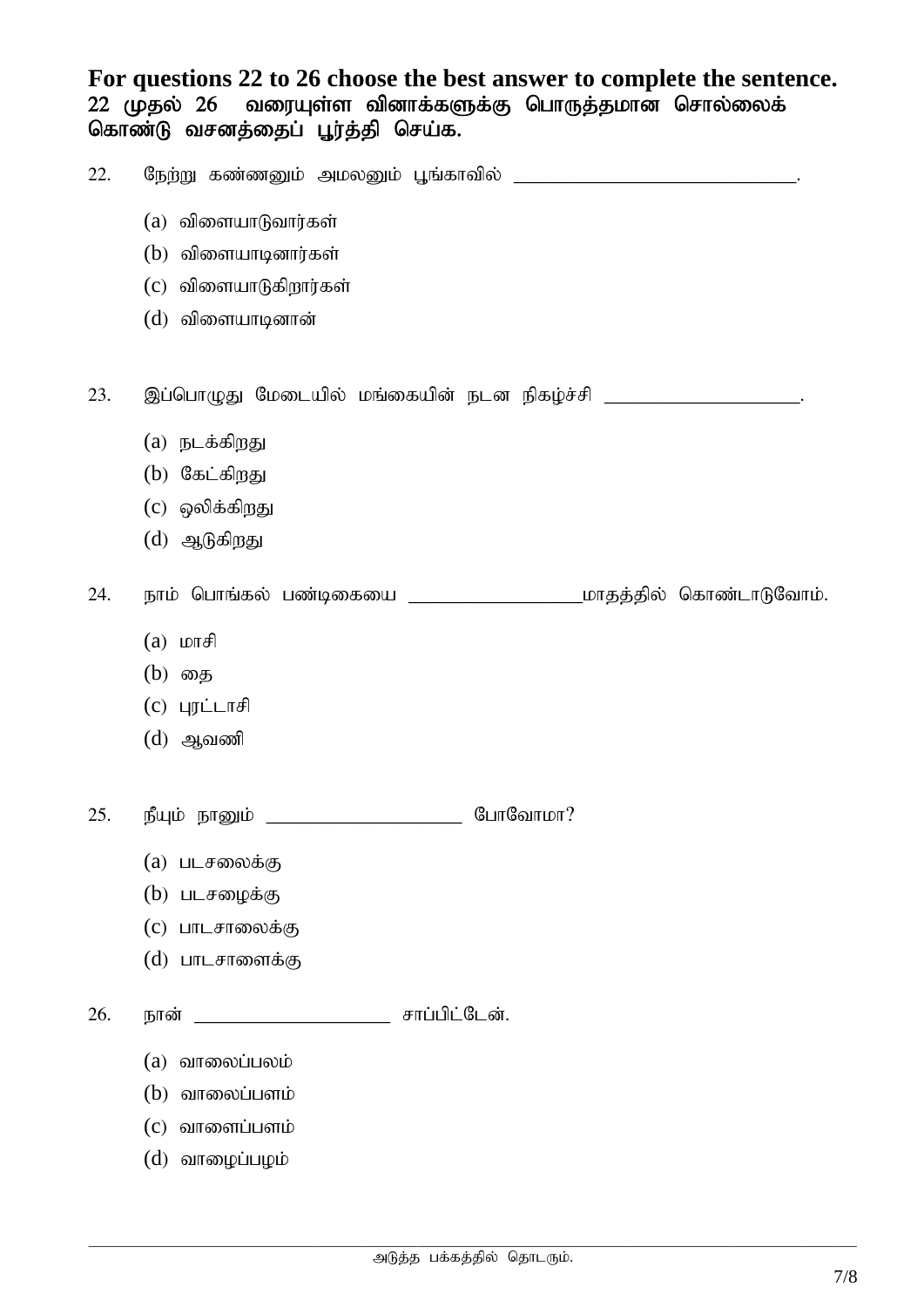**For questions 22 to 26 choose the best answer to complete the sentence.**  22 முதல் 26 வரையுள்ள வினாக்களுக்கு பொருத்தமான சொல்லைக் கொண்டு வசனத்தைப் பூர்த்தி செய்க.

| 22. |                                                                   |
|-----|-------------------------------------------------------------------|
|     | (a) விளையாடுவார்கள்                                               |
|     | $(b)$ விளையாடினார்கள்                                             |
|     | (c) விளையாடுகிறார்கள்                                             |
|     | (d) விளையாடினான்                                                  |
|     |                                                                   |
| 23. | இப்பொழுது மேடையில் மங்கையின் நடன நிகழ்ச்சி _____________________. |
|     | (a) நடக்கிறது                                                     |
|     | (b) கேட்கிறது                                                     |
|     | (c) ஒலிக்கிறது                                                    |
|     | $(d)$ ஆடுகிறது                                                    |
| 24. |                                                                   |
|     | $(a)$ $L$ or $f$                                                  |
|     | (b) தை                                                            |
|     | $(c)$ புரட்டாசி                                                   |
|     | $(d)$ ஆவணி                                                        |
|     |                                                                   |
| 25. | போவோமா?<br>நீயும் நானும்                                          |
|     | (a) படசலைக்கு                                                     |
|     | (b) படசழைக்கு                                                     |
|     | (c) பாடசாலைக்கு                                                   |
|     | (d) பாடசாளைக்கு                                                   |
| 26. | சாப்பிட்டேன்.<br>நான்                                             |
|     | $(a)$ வாலைப்பலம்                                                  |
|     | வாலைப்பளம்<br>(b)                                                 |
|     | வாளைப்பளம்<br>(c)                                                 |
|     | $(d)$ வாழைப்பழம்                                                  |